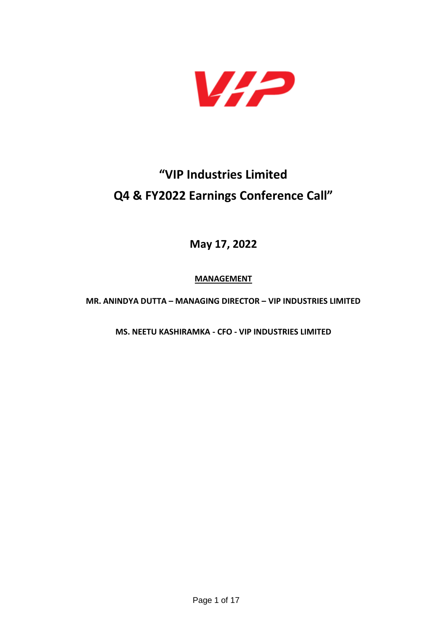

## **"VIP Industries Limited Q4 & FY2022 Earnings Conference Call"**

**May 17, 2022**

**MANAGEMENT**

**MR. ANINDYA DUTTA – MANAGING DIRECTOR – VIP INDUSTRIES LIMITED**

**MS. NEETU KASHIRAMKA - CFO - VIP INDUSTRIES LIMITED**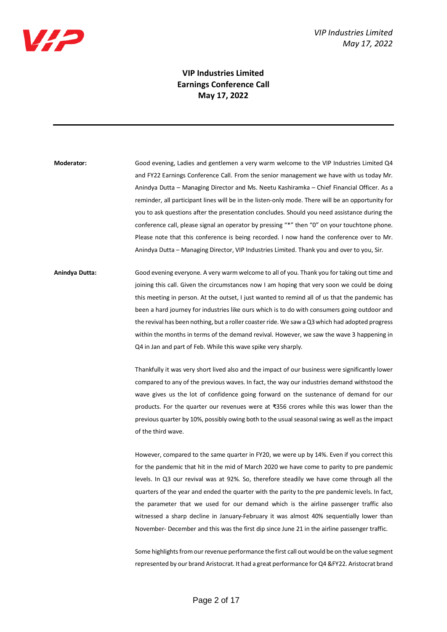

## **VIP Industries Limited Earnings Conference Call May 17, 2022**

**Moderator:** Good evening, Ladies and gentlemen a very warm welcome to the VIP Industries Limited Q4 and FY22 Earnings Conference Call. From the senior management we have with us today Mr. Anindya Dutta – Managing Director and Ms. Neetu Kashiramka – Chief Financial Officer. As a reminder, all participant lines will be in the listen-only mode. There will be an opportunity for you to ask questions after the presentation concludes. Should you need assistance during the conference call, please signal an operator by pressing "\*" then "0" on your touchtone phone. Please note that this conference is being recorded. I now hand the conference over to Mr. Anindya Dutta – Managing Director, VIP Industries Limited. Thank you and over to you, Sir.

**Anindya Dutta:** Good evening everyone. A very warm welcome to all of you. Thank you for taking out time and joining this call. Given the circumstances now I am hoping that very soon we could be doing this meeting in person. At the outset, I just wanted to remind all of us that the pandemic has been a hard journey for industries like ours which is to do with consumers going outdoor and the revival has been nothing, but a roller coaster ride. We saw a Q3 which had adopted progress within the months in terms of the demand revival. However, we saw the wave 3 happening in Q4 in Jan and part of Feb. While this wave spike very sharply.

> Thankfully it was very short lived also and the impact of our business were significantly lower compared to any of the previous waves. In fact, the way our industries demand withstood the wave gives us the lot of confidence going forward on the sustenance of demand for our products. For the quarter our revenues were at ₹356 crores while this was lower than the previous quarter by 10%, possibly owing both to the usual seasonal swing as well as the impact of the third wave.

> However, compared to the same quarter in FY20, we were up by 14%. Even if you correct this for the pandemic that hit in the mid of March 2020 we have come to parity to pre pandemic levels. In Q3 our revival was at 92%. So, therefore steadily we have come through all the quarters of the year and ended the quarter with the parity to the pre pandemic levels. In fact, the parameter that we used for our demand which is the airline passenger traffic also witnessed a sharp decline in January-February it was almost 40% sequentially lower than November- December and this was the first dip since June 21 in the airline passenger traffic.

> Some highlights from our revenue performance the first call out would be on the value segment represented by our brand Aristocrat. It had a great performance for Q4 &FY22. Aristocrat brand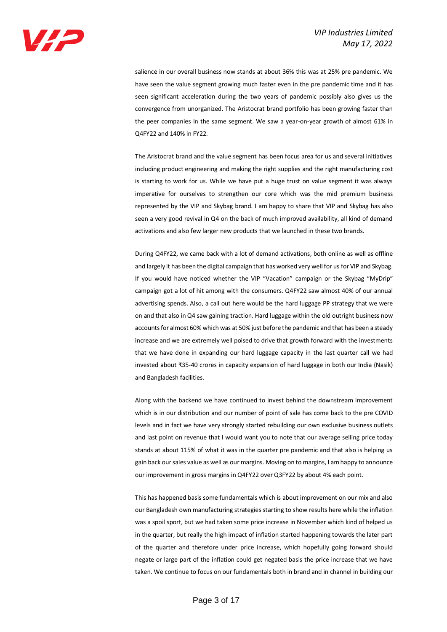

salience in our overall business now stands at about 36% this was at 25% pre pandemic. We have seen the value segment growing much faster even in the pre pandemic time and it has seen significant acceleration during the two years of pandemic possibly also gives us the convergence from unorganized. The Aristocrat brand portfolio has been growing faster than the peer companies in the same segment. We saw a year-on-year growth of almost 61% in Q4FY22 and 140% in FY22.

The Aristocrat brand and the value segment has been focus area for us and several initiatives including product engineering and making the right supplies and the right manufacturing cost is starting to work for us. While we have put a huge trust on value segment it was always imperative for ourselves to strengthen our core which was the mid premium business represented by the VIP and Skybag brand. I am happy to share that VIP and Skybag has also seen a very good revival in Q4 on the back of much improved availability, all kind of demand activations and also few larger new products that we launched in these two brands.

During Q4FY22, we came back with a lot of demand activations, both online as well as offline and largely it has been the digital campaign that has worked very well for us for VIP and Skybag. If you would have noticed whether the VIP "Vacation" campaign or the Skybag "MyDrip" campaign got a lot of hit among with the consumers. Q4FY22 saw almost 40% of our annual advertising spends. Also, a call out here would be the hard luggage PP strategy that we were on and that also in Q4 saw gaining traction. Hard luggage within the old outright business now accounts for almost 60% which was at 50% just before the pandemic and that has been a steady increase and we are extremely well poised to drive that growth forward with the investments that we have done in expanding our hard luggage capacity in the last quarter call we had invested about ₹35-40 crores in capacity expansion of hard luggage in both our India (Nasik) and Bangladesh facilities.

Along with the backend we have continued to invest behind the downstream improvement which is in our distribution and our number of point of sale has come back to the pre COVID levels and in fact we have very strongly started rebuilding our own exclusive business outlets and last point on revenue that I would want you to note that our average selling price today stands at about 115% of what it was in the quarter pre pandemic and that also is helping us gain back our sales value as well as our margins. Moving on to margins, I am happy to announce our improvement in gross margins in Q4FY22 over Q3FY22 by about 4% each point.

This has happened basis some fundamentals which is about improvement on our mix and also our Bangladesh own manufacturing strategies starting to show results here while the inflation was a spoil sport, but we had taken some price increase in November which kind of helped us in the quarter, but really the high impact of inflation started happening towards the later part of the quarter and therefore under price increase, which hopefully going forward should negate or large part of the inflation could get negated basis the price increase that we have taken. We continue to focus on our fundamentals both in brand and in channel in building our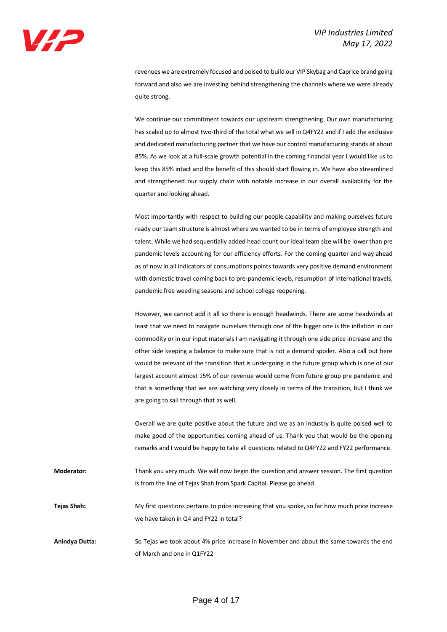revenues we are extremely focused and poised to build our VIP Skybag and Caprice brand going forward and also we are investing behind strengthening the channels where we were already quite strong.

We continue our commitment towards our upstream strengthening. Our own manufacturing has scaled up to almost two-third of the total what we sell in Q4FY22 and if I add the exclusive and dedicated manufacturing partner that we have our control manufacturing stands at about 85%. As we look at a full-scale growth potential in the coming financial year I would like us to keep this 85% intact and the benefit of this should start flowing in. We have also streamlined and strengthened our supply chain with notable increase in our overall availability for the quarter and looking ahead.

Most importantly with respect to building our people capability and making ourselves future ready our team structure is almost where we wanted to be in terms of employee strength and talent. While we had sequentially added head count our ideal team size will be lower than pre pandemic levels accounting for our efficiency efforts. For the coming quarter and way ahead as of now in all indicators of consumptions points towards very positive demand environment with domestic travel coming back to pre-pandemic levels, resumption of international travels, pandemic free weeding seasons and school college reopening.

However, we cannot add it all so there is enough headwinds. There are some headwinds at least that we need to navigate ourselves through one of the bigger one is the inflation in our commodity or in our input materials I am navigating it through one side price increase and the other side keeping a balance to make sure that is not a demand spoiler. Also a call out here would be relevant of the transition that is undergoing in the future group which is one of our largest account almost 15% of our revenue would come from future group pre pandemic and that is something that we are watching very closely in terms of the transition, but I think we are going to sail through that as well.

Overall we are quite positive about the future and we as an industry is quite poised well to make good of the opportunities coming ahead of us. Thank you that would be the opening remarks and I would be happy to take all questions related to Q4FY22 and FY22 performance.

**Moderator:** Thank you very much. We will now begin the question and answer session. The first question is from the line of Tejas Shah from Spark Capital. Please go ahead.

**Tejas Shah:** My first questions pertains to price increasing that you spoke, so far how much price increase we have taken in Q4 and FY22 in total?

**Anindya Dutta:** So Tejas we took about 4% price increase in November and about the same towards the end of March and one in Q1FY22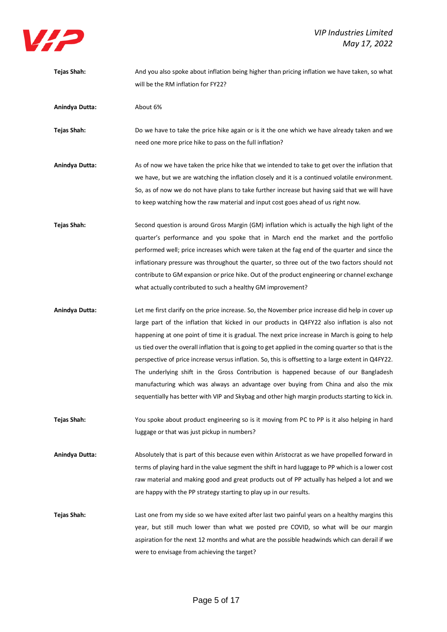

**Tejas Shah:** And you also spoke about inflation being higher than pricing inflation we have taken, so what will be the RM inflation for FY22? **Anindya Dutta:** About 6% **Tejas Shah:** Do we have to take the price hike again or is it the one which we have already taken and we need one more price hike to pass on the full inflation? **Anindya Dutta:** As of now we have taken the price hike that we intended to take to get over the inflation that we have, but we are watching the inflation closely and it is a continued volatile environment. So, as of now we do not have plans to take further increase but having said that we will have to keep watching how the raw material and input cost goes ahead of us right now. **Tejas Shah:** Second question is around Gross Margin (GM) inflation which is actually the high light of the quarter's performance and you spoke that in March end the market and the portfolio performed well; price increases which were taken at the fag end of the quarter and since the inflationary pressure was throughout the quarter, so three out of the two factors should not contribute to GM expansion or price hike. Out of the product engineering or channel exchange what actually contributed to such a healthy GM improvement? **Anindya Dutta:** Let me first clarify on the price increase. So, the November price increase did help in cover up large part of the inflation that kicked in our products in Q4FY22 also inflation is also not happening at one point of time it is gradual. The next price increase in March is going to help us tied over the overall inflation that is going to get applied in the coming quarter so that is the

perspective of price increase versus inflation. So, this is offsetting to a large extent in Q4FY22. The underlying shift in the Gross Contribution is happened because of our Bangladesh manufacturing which was always an advantage over buying from China and also the mix sequentially has better with VIP and Skybag and other high margin products starting to kick in.

**Tejas Shah:** You spoke about product engineering so is it moving from PC to PP is it also helping in hard luggage or that was just pickup in numbers?

**Anindya Dutta:** Absolutely that is part of this because even within Aristocrat as we have propelled forward in terms of playing hard in the value segment the shift in hard luggage to PP which is a lower cost raw material and making good and great products out of PP actually has helped a lot and we are happy with the PP strategy starting to play up in our results.

**Tejas Shah:** Last one from my side so we have exited after last two painful years on a healthy margins this year, but still much lower than what we posted pre COVID, so what will be our margin aspiration for the next 12 months and what are the possible headwinds which can derail if we were to envisage from achieving the target?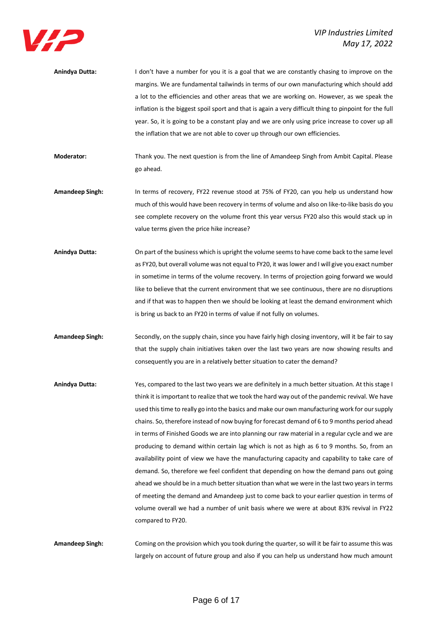

| Anindya Dutta: | I don't have a number for you it is a goal that we are constantly chasing to improve on the            |
|----------------|--------------------------------------------------------------------------------------------------------|
|                | margins. We are fundamental tailwinds in terms of our own manufacturing which should add               |
|                | a lot to the efficiencies and other areas that we are working on. However, as we speak the             |
|                | inflation is the biggest spoil sport and that is again a very difficult thing to pinpoint for the full |
|                | year. So, it is going to be a constant play and we are only using price increase to cover up all       |
|                | the inflation that we are not able to cover up through our own efficiencies.                           |
|                |                                                                                                        |

**Moderator:** Thank you. The next question is from the line of Amandeep Singh from Ambit Capital. Please go ahead.

**Amandeep Singh:** In terms of recovery, FY22 revenue stood at 75% of FY20, can you help us understand how much of this would have been recovery in terms of volume and also on like-to-like basis do you see complete recovery on the volume front this year versus FY20 also this would stack up in value terms given the price hike increase?

**Anindya Dutta:** On part of the business which is upright the volume seems to have come back to the same level as FY20, but overall volume was not equal to FY20, it was lower and I will give you exact number in sometime in terms of the volume recovery. In terms of projection going forward we would like to believe that the current environment that we see continuous, there are no disruptions and if that was to happen then we should be looking at least the demand environment which is bring us back to an FY20 in terms of value if not fully on volumes.

**Amandeep Singh:** Secondly, on the supply chain, since you have fairly high closing inventory, will it be fair to say that the supply chain initiatives taken over the last two years are now showing results and consequently you are in a relatively better situation to cater the demand?

**Anindya Dutta:** Yes, compared to the last two years we are definitely in a much better situation. At this stage I think it is important to realize that we took the hard way out of the pandemic revival. We have used this time to really go into the basics and make our own manufacturing work for our supply chains. So, therefore instead of now buying for forecast demand of 6 to 9 months period ahead in terms of Finished Goods we are into planning our raw material in a regular cycle and we are producing to demand within certain lag which is not as high as 6 to 9 months. So, from an availability point of view we have the manufacturing capacity and capability to take care of demand. So, therefore we feel confident that depending on how the demand pans out going ahead we should be in a much better situation than what we were in the last two years in terms of meeting the demand and Amandeep just to come back to your earlier question in terms of volume overall we had a number of unit basis where we were at about 83% revival in FY22 compared to FY20.

**Amandeep Singh:** Coming on the provision which you took during the quarter, so will it be fair to assume this was largely on account of future group and also if you can help us understand how much amount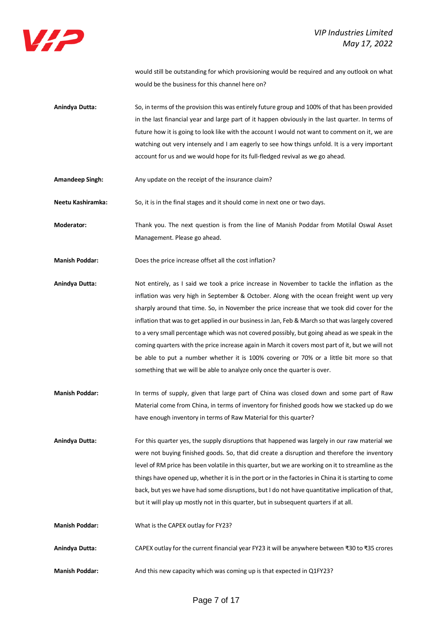

would still be outstanding for which provisioning would be required and any outlook on what would be the business for this channel here on?

- **Anindya Dutta:** So, in terms of the provision this was entirely future group and 100% of that has been provided in the last financial year and large part of it happen obviously in the last quarter. In terms of future how it is going to look like with the account I would not want to comment on it, we are watching out very intensely and I am eagerly to see how things unfold. It is a very important account for us and we would hope for its full-fledged revival as we go ahead.
- Amandeep Singh: Any update on the receipt of the insurance claim?

**Neetu Kashiramka:** So, it is in the final stages and it should come in next one or two days.

**Moderator:** Thank you. The next question is from the line of Manish Poddar from Motilal Oswal Asset Management. Please go ahead.

**Manish Poddar:** Does the price increase offset all the cost inflation?

**Anindya Dutta:** Not entirely, as I said we took a price increase in November to tackle the inflation as the inflation was very high in September & October. Along with the ocean freight went up very sharply around that time. So, in November the price increase that we took did cover for the inflation that was to get applied in our business in Jan, Feb & March so that was largely covered to a very small percentage which was not covered possibly, but going ahead as we speak in the coming quarters with the price increase again in March it covers most part of it, but we will not be able to put a number whether it is 100% covering or 70% or a little bit more so that something that we will be able to analyze only once the quarter is over.

**Manish Poddar:** In terms of supply, given that large part of China was closed down and some part of Raw Material come from China, in terms of inventory for finished goods how we stacked up do we have enough inventory in terms of Raw Material for this quarter?

**Anindya Dutta:** For this quarter yes, the supply disruptions that happened was largely in our raw material we were not buying finished goods. So, that did create a disruption and therefore the inventory level of RM price has been volatile in this quarter, but we are working on it to streamline as the things have opened up, whether it is in the port or in the factories in China it is starting to come back, but yes we have had some disruptions, but I do not have quantitative implication of that, but it will play up mostly not in this quarter, but in subsequent quarters if at all.

- **Manish Poddar:** What is the CAPEX outlay for FY23?
- **Anindya Dutta:** CAPEX outlay for the current financial year FY23 it will be anywhere between ₹30 to ₹35 crores
- **Manish Poddar:** And this new capacity which was coming up is that expected in Q1FY23?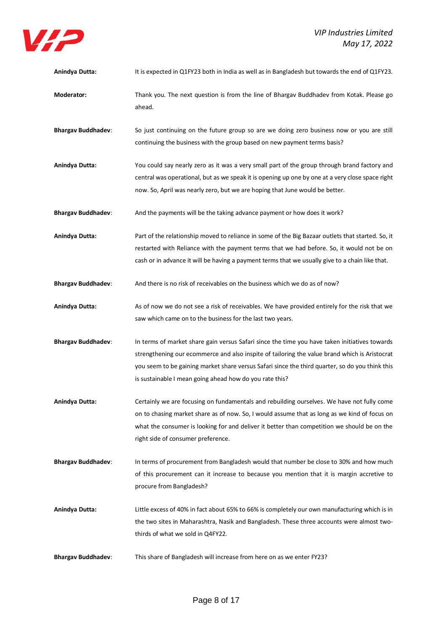

| Anindya Dutta:            | It is expected in Q1FY23 both in India as well as in Bangladesh but towards the end of Q1FY23.                                                                                                                                                                                                                                                               |
|---------------------------|--------------------------------------------------------------------------------------------------------------------------------------------------------------------------------------------------------------------------------------------------------------------------------------------------------------------------------------------------------------|
| Moderator:                | Thank you. The next question is from the line of Bhargav Buddhadev from Kotak. Please go<br>ahead.                                                                                                                                                                                                                                                           |
| <b>Bhargav Buddhadev:</b> | So just continuing on the future group so are we doing zero business now or you are still<br>continuing the business with the group based on new payment terms basis?                                                                                                                                                                                        |
| Anindya Dutta:            | You could say nearly zero as it was a very small part of the group through brand factory and<br>central was operational, but as we speak it is opening up one by one at a very close space right<br>now. So, April was nearly zero, but we are hoping that June would be better.                                                                             |
| <b>Bhargav Buddhadev:</b> | And the payments will be the taking advance payment or how does it work?                                                                                                                                                                                                                                                                                     |
| Anindya Dutta:            | Part of the relationship moved to reliance in some of the Big Bazaar outlets that started. So, it<br>restarted with Reliance with the payment terms that we had before. So, it would not be on<br>cash or in advance it will be having a payment terms that we usually give to a chain like that.                                                            |
| <b>Bhargav Buddhadev:</b> | And there is no risk of receivables on the business which we do as of now?                                                                                                                                                                                                                                                                                   |
| Anindya Dutta:            | As of now we do not see a risk of receivables. We have provided entirely for the risk that we<br>saw which came on to the business for the last two years.                                                                                                                                                                                                   |
| <b>Bhargav Buddhadev:</b> | In terms of market share gain versus Safari since the time you have taken initiatives towards<br>strengthening our ecommerce and also inspite of tailoring the value brand which is Aristocrat<br>you seem to be gaining market share versus Safari since the third quarter, so do you think this<br>is sustainable I mean going ahead how do you rate this? |
| <b>Anindya Dutta:</b>     | Certainly we are focusing on fundamentals and rebuilding ourselves. We have not fully come<br>on to chasing market share as of now. So, I would assume that as long as we kind of focus on<br>what the consumer is looking for and deliver it better than competition we should be on the<br>right side of consumer preference.                              |
| <b>Bhargav Buddhadev:</b> | In terms of procurement from Bangladesh would that number be close to 30% and how much<br>of this procurement can it increase to because you mention that it is margin accretive to<br>procure from Bangladesh?                                                                                                                                              |
| Anindya Dutta:            | Little excess of 40% in fact about 65% to 66% is completely our own manufacturing which is in<br>the two sites in Maharashtra, Nasik and Bangladesh. These three accounts were almost two-<br>thirds of what we sold in Q4FY22.                                                                                                                              |
| <b>Bhargav Buddhadev:</b> | This share of Bangladesh will increase from here on as we enter FY23?                                                                                                                                                                                                                                                                                        |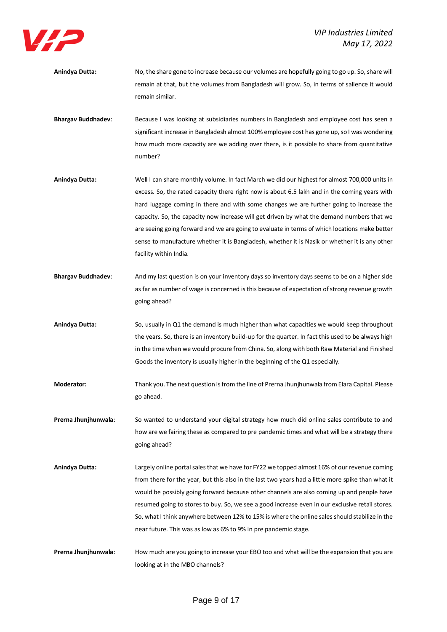

- **Anindya Dutta:** No, the share gone to increase because our volumes are hopefully going to go up. So, share will remain at that, but the volumes from Bangladesh will grow. So, in terms of salience it would remain similar.
- **Bhargav Buddhadev**: Because I was looking at subsidiaries numbers in Bangladesh and employee cost has seen a significant increase in Bangladesh almost 100% employee cost has gone up, so I was wondering how much more capacity are we adding over there, is it possible to share from quantitative number?
- **Anindya Dutta:** Well I can share monthly volume. In fact March we did our highest for almost 700,000 units in excess. So, the rated capacity there right now is about 6.5 lakh and in the coming years with hard luggage coming in there and with some changes we are further going to increase the capacity. So, the capacity now increase will get driven by what the demand numbers that we are seeing going forward and we are going to evaluate in terms of which locations make better sense to manufacture whether it is Bangladesh, whether it is Nasik or whether it is any other facility within India.
- **Bhargav Buddhadev**: And my last question is on your inventory days so inventory days seems to be on a higher side as far as number of wage is concerned is this because of expectation of strong revenue growth going ahead?
- **Anindya Dutta:** So, usually in Q1 the demand is much higher than what capacities we would keep throughout the years. So, there is an inventory build-up for the quarter. In fact this used to be always high in the time when we would procure from China. So, along with both Raw Material and Finished Goods the inventory is usually higher in the beginning of the Q1 especially.
- **Moderator:** Thank you. The next question is from the line of Prerna Jhunjhunwala from Elara Capital. Please go ahead.
- **Prerna Jhunjhunwala**: So wanted to understand your digital strategy how much did online sales contribute to and how are we fairing these as compared to pre pandemic times and what will be a strategy there going ahead?
- **Anindya Dutta:** Largely online portal sales that we have for FY22 we topped almost 16% of our revenue coming from there for the year, but this also in the last two years had a little more spike than what it would be possibly going forward because other channels are also coming up and people have resumed going to stores to buy. So, we see a good increase even in our exclusive retail stores. So, what I think anywhere between 12% to 15% is where the online sales should stabilize in the near future. This was as low as 6% to 9% in pre pandemic stage.
- **Prerna Jhunjhunwala**: How much are you going to increase your EBO too and what will be the expansion that you are looking at in the MBO channels?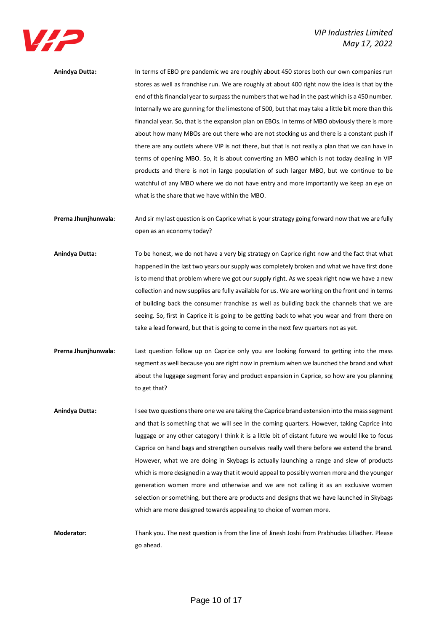

**Anindya Dutta:** In terms of EBO pre pandemic we are roughly about 450 stores both our own companies run stores as well as franchise run. We are roughly at about 400 right now the idea is that by the end of this financial year to surpass the numbers that we had in the past which is a 450 number. Internally we are gunning for the limestone of 500, but that may take a little bit more than this financial year. So, that is the expansion plan on EBOs. In terms of MBO obviously there is more about how many MBOs are out there who are not stocking us and there is a constant push if there are any outlets where VIP is not there, but that is not really a plan that we can have in terms of opening MBO. So, it is about converting an MBO which is not today dealing in VIP products and there is not in large population of such larger MBO, but we continue to be watchful of any MBO where we do not have entry and more importantly we keep an eye on what is the share that we have within the MBO.

**Prerna Jhunjhunwala**: And sir my last question is on Caprice what is your strategy going forward now that we are fully open as an economy today?

- **Anindya Dutta:** To be honest, we do not have a very big strategy on Caprice right now and the fact that what happened in the last two years our supply was completely broken and what we have first done is to mend that problem where we got our supply right. As we speak right now we have a new collection and new supplies are fully available for us. We are working on the front end in terms of building back the consumer franchise as well as building back the channels that we are seeing. So, first in Caprice it is going to be getting back to what you wear and from there on take a lead forward, but that is going to come in the next few quarters not as yet.
- **Prerna Jhunjhunwala**: Last question follow up on Caprice only you are looking forward to getting into the mass segment as well because you are right now in premium when we launched the brand and what about the luggage segment foray and product expansion in Caprice, so how are you planning to get that?
- **Anindya Dutta:** I see two questions there one we are taking the Caprice brand extension into the mass segment and that is something that we will see in the coming quarters. However, taking Caprice into luggage or any other category I think it is a little bit of distant future we would like to focus Caprice on hand bags and strengthen ourselves really well there before we extend the brand. However, what we are doing in Skybags is actually launching a range and slew of products which is more designed in a way that it would appeal to possibly women more and the younger generation women more and otherwise and we are not calling it as an exclusive women selection or something, but there are products and designs that we have launched in Skybags which are more designed towards appealing to choice of women more.

**Moderator:** Thank you. The next question is from the line of Jinesh Joshi from Prabhudas Lilladher. Please go ahead.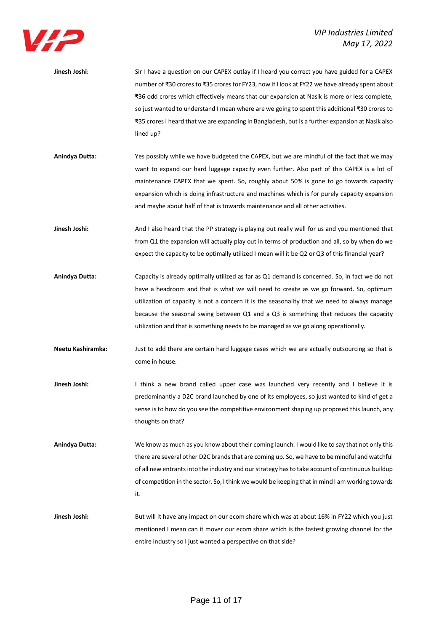

| Jinesh Joshi:  | Sir I have a question on our CAPEX outlay if I heard you correct you have guided for a CAPEX     |
|----------------|--------------------------------------------------------------------------------------------------|
|                | number of ₹30 crores to ₹35 crores for FY23, now if I look at FY22 we have already spent about   |
|                | ₹36 odd crores which effectively means that our expansion at Nasik is more or less complete,     |
|                | so just wanted to understand I mean where are we going to spent this additional ₹30 crores to    |
|                | ₹35 crores I heard that we are expanding in Bangladesh, but is a further expansion at Nasik also |
|                | lined up?                                                                                        |
|                |                                                                                                  |
| Anindya Dutta: | Yes possibly while we have budgeted the CAPEX, but we are mindful of the fact that we may        |
|                | want to expand our hard luggage capacity even further. Also part of this CAPEX is a lot of       |
|                | maintenance CAPEX that we spent. So, roughly about 50% is gone to go towards capacity            |
|                |                                                                                                  |

**Jinesh Joshi:** And I also heard that the PP strategy is playing out really well for us and you mentioned that from Q1 the expansion will actually play out in terms of production and all, so by when do we expect the capacity to be optimally utilized I mean will it be Q2 or Q3 of this financial year?

and maybe about half of that is towards maintenance and all other activities.

expansion which is doing infrastructure and machines which is for purely capacity expansion

- **Anindya Dutta:** Capacity is already optimally utilized as far as Q1 demand is concerned. So, in fact we do not have a headroom and that is what we will need to create as we go forward. So, optimum utilization of capacity is not a concern it is the seasonality that we need to always manage because the seasonal swing between Q1 and a Q3 is something that reduces the capacity utilization and that is something needs to be managed as we go along operationally.
- **Neetu Kashiramka:** Just to add there are certain hard luggage cases which we are actually outsourcing so that is come in house.
- Jinesh Joshi: I think a new brand called upper case was launched very recently and I believe it is predominantly a D2C brand launched by one of its employees, so just wanted to kind of get a sense is to how do you see the competitive environment shaping up proposed this launch, any thoughts on that?
- **Anindya Dutta:** We know as much as you know about their coming launch. I would like to say that not only this there are several other D2C brands that are coming up. So, we have to be mindful and watchful of all new entrantsinto the industry and our strategy has to take account of continuous buildup of competition in the sector. So, I think we would be keeping that in mind I am working towards it.
- **Jinesh Joshi:** But will it have any impact on our ecom share which was at about 16% in FY22 which you just mentioned I mean can it mover our ecom share which is the fastest growing channel for the entire industry so I just wanted a perspective on that side?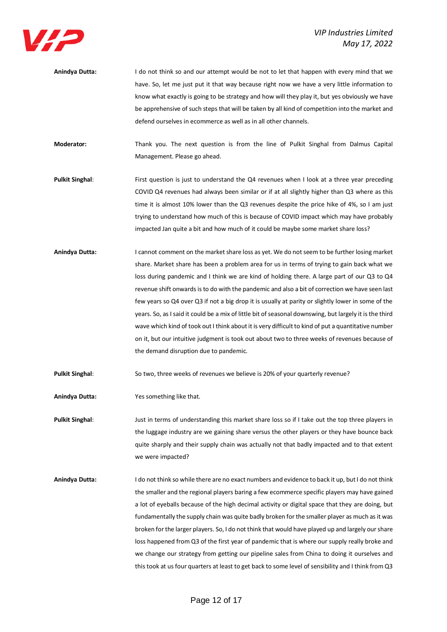

**Anindya Dutta:** I do not think so and our attempt would be not to let that happen with every mind that we have. So, let me just put it that way because right now we have a very little information to know what exactly is going to be strategy and how will they play it, but yes obviously we have be apprehensive of such steps that will be taken by all kind of competition into the market and defend ourselves in ecommerce as well as in all other channels.

**Moderator:** Thank you. The next question is from the line of Pulkit Singhal from Dalmus Capital Management. Please go ahead.

- Pulkit Singhal: First question is just to understand the Q4 revenues when I look at a three year preceding COVID Q4 revenues had always been similar or if at all slightly higher than Q3 where as this time it is almost 10% lower than the Q3 revenues despite the price hike of 4%, so I am just trying to understand how much of this is because of COVID impact which may have probably impacted Jan quite a bit and how much of it could be maybe some market share loss?
- **Anindya Dutta:** I cannot comment on the market share loss as yet. We do not seem to be further losing market share. Market share has been a problem area for us in terms of trying to gain back what we loss during pandemic and I think we are kind of holding there. A large part of our Q3 to Q4 revenue shift onwards is to do with the pandemic and also a bit of correction we have seen last few years so Q4 over Q3 if not a big drop it is usually at parity or slightly lower in some of the years. So, as I said it could be a mix of little bit of seasonal downswing, but largely it is the third wave which kind of took out I think about it is very difficult to kind of put a quantitative number on it, but our intuitive judgment is took out about two to three weeks of revenues because of the demand disruption due to pandemic.

Pulkit Singhal: So two, three weeks of revenues we believe is 20% of your quarterly revenue?

**Anindya Dutta:** Yes something like that.

**Pulkit Singhal**: Just in terms of understanding this market share loss so if I take out the top three players in the luggage industry are we gaining share versus the other players or they have bounce back quite sharply and their supply chain was actually not that badly impacted and to that extent we were impacted?

**Anindya Dutta:** I do not think so while there are no exact numbers and evidence to back it up, but I do not think the smaller and the regional players baring a few ecommerce specific players may have gained a lot of eyeballs because of the high decimal activity or digital space that they are doing, but fundamentally the supply chain was quite badly broken for the smaller player as much as it was broken for the larger players. So, I do not think that would have played up and largely our share loss happened from Q3 of the first year of pandemic that is where our supply really broke and we change our strategy from getting our pipeline sales from China to doing it ourselves and thistook at us four quarters at least to get back to some level of sensibility and I think from Q3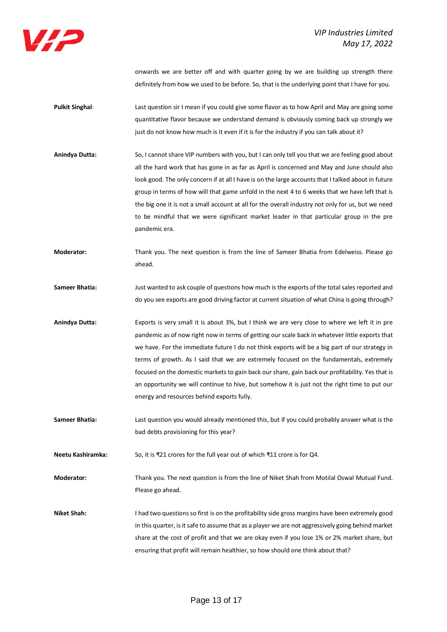

onwards we are better off and with quarter going by we are building up strength there definitely from how we used to be before. So, that is the underlying point that I have for you.

- **Pulkit Singhal:** Last question sir I mean if you could give some flavor as to how April and May are going some quantitative flavor because we understand demand is obviously coming back up strongly we just do not know how much is it even if it is for the industry if you can talk about it?
- **Anindya Dutta:** So, I cannot share VIP numbers with you, but I can only tell you that we are feeling good about all the hard work that has gone in as far as April is concerned and May and June should also look good. The only concern if at all I have is on the large accounts that I talked about in future group in terms of how will that game unfold in the next 4 to 6 weeks that we have left that is the big one it is not a small account at all for the overall industry not only for us, but we need to be mindful that we were significant market leader in that particular group in the pre pandemic era.
- **Moderator:** Thank you. The next question is from the line of Sameer Bhatia from Edelweiss. Please go ahead.
- **Sameer Bhatia:** Just wanted to ask couple of questions how much is the exports of the total sales reported and do you see exports are good driving factor at current situation of what China is going through?
- **Anindya Dutta:** Exports is very small it is about 3%, but I think we are very close to where we left it in pre pandemic as of now right now in terms of getting our scale back in whatever little exports that we have. For the immediate future I do not think exports will be a big part of our strategy in terms of growth. As I said that we are extremely focused on the fundamentals, extremely focused on the domestic markets to gain back our share, gain back our profitability. Yes that is an opportunity we will continue to hive, but somehow it is just not the right time to put our energy and resources behind exports fully.
- **Sameer Bhatia:** Last question you would already mentioned this, but if you could probably answer what is the bad debts provisioning for this year?
- **Neetu Kashiramka:** So, it is ₹21 crores for the full year out of which ₹11 crore is for Q4.
- **Moderator:** Thank you. The next question is from the line of Niket Shah from Motilal Oswal Mutual Fund. Please go ahead.
- **Niket Shah:** I had two questions so first is on the profitability side gross margins have been extremely good in this quarter, is it safe to assume that as a player we are not aggressively going behind market share at the cost of profit and that we are okay even if you lose 1% or 2% market share, but ensuring that profit will remain healthier, so how should one think about that?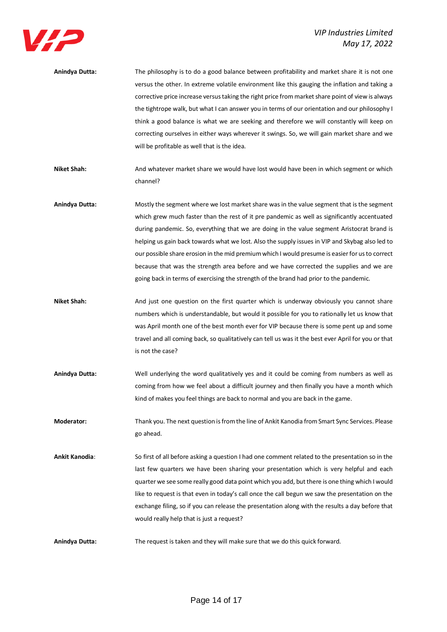

| Anindya Dutta: | The philosophy is to do a good balance between profitability and market share it is not one       |
|----------------|---------------------------------------------------------------------------------------------------|
|                | versus the other. In extreme volatile environment like this gauging the inflation and taking a    |
|                | corrective price increase versus taking the right price from market share point of view is always |
|                | the tightrope walk, but what I can answer you in terms of our orientation and our philosophy I    |
|                | think a good balance is what we are seeking and therefore we will constantly will keep on         |
|                | correcting ourselves in either ways wherever it swings. So, we will gain market share and we      |
|                | will be profitable as well that is the idea.                                                      |
|                |                                                                                                   |
| Niket Shah:    | And whatever market share we would have lost would have been in which segment or which            |

**Anindya Dutta:** Mostly the segment where we lost market share was in the value segment that is the segment which grew much faster than the rest of it pre pandemic as well as significantly accentuated during pandemic. So, everything that we are doing in the value segment Aristocrat brand is helping us gain back towards what we lost. Also the supply issues in VIP and Skybag also led to our possible share erosion in the mid premium which I would presume is easier for us to correct because that was the strength area before and we have corrected the supplies and we are

channel?

Niket Shah: And just one question on the first quarter which is underway obviously you cannot share numbers which is understandable, but would it possible for you to rationally let us know that was April month one of the best month ever for VIP because there is some pent up and some travel and all coming back, so qualitatively can tell us was it the best ever April for you or that is not the case?

going back in terms of exercising the strength of the brand had prior to the pandemic.

**Anindya Dutta:** Well underlying the word qualitatively yes and it could be coming from numbers as well as coming from how we feel about a difficult journey and then finally you have a month which kind of makes you feel things are back to normal and you are back in the game.

**Moderator:** Thank you. The next question is from the line of Ankit Kanodia from Smart Sync Services. Please go ahead.

**Ankit Kanodia**: So first of all before asking a question I had one comment related to the presentation so in the last few quarters we have been sharing your presentation which is very helpful and each quarter we see some really good data point which you add, but there is one thing which I would like to request is that even in today's call once the call begun we saw the presentation on the exchange filing, so if you can release the presentation along with the results a day before that would really help that is just a request?

**Anindya Dutta:** The request is taken and they will make sure that we do this quick forward.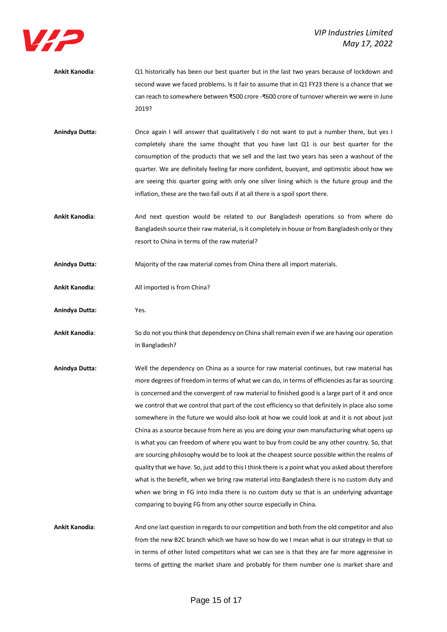

- **Ankit Kanodia**: Q1 historically has been our best quarter but in the last two years because of lockdown and second wave we faced problems. Is it fair to assume that in Q1 FY23 there is a chance that we can reach to somewhere between ₹500 crore -₹600 crore of turnover wherein we were in June 2019?
- **Anindya Dutta:** Once again I will answer that qualitatively I do not want to put a number there, but yes I completely share the same thought that you have last Q1 is our best quarter for the consumption of the products that we sell and the last two years has seen a washout of the quarter. We are definitely feeling far more confident, buoyant, and optimistic about how we are seeing this quarter going with only one silver lining which is the future group and the inflation, these are the two fall outs if at all there is a spoil sport there.
- **Ankit Kanodia**: And next question would be related to our Bangladesh operations so from where do Bangladesh source their raw material, is it completely in house or from Bangladesh only or they resort to China in terms of the raw material?
- **Anindya Dutta:** Majority of the raw material comes from China there all import materials.
- Ankit Kanodia: All imported is from China?
- **Anindya Dutta:** Yes.
- **Ankit Kanodia**: So do not you think that dependency on China shall remain even if we are having our operation in Bangladesh?
- **Anindya Dutta:** Well the dependency on China as a source for raw material continues, but raw material has more degrees of freedom in terms of what we can do, in terms of efficiencies as far as sourcing is concerned and the convergent of raw material to finished good is a large part of it and once we control that we control that part of the cost efficiency so that definitely in place also some somewhere in the future we would also look at how we could look at and it is not about just China as a source because from here as you are doing your own manufacturing what opens up is what you can freedom of where you want to buy from could be any other country. So, that are sourcing philosophy would be to look at the cheapest source possible within the realms of quality that we have. So, just add to this I think there is a point what you asked about therefore what is the benefit, when we bring raw material into Bangladesh there is no custom duty and when we bring in FG into India there is no custom duty so that is an underlying advantage comparing to buying FG from any other source especially in China.
- **Ankit Kanodia**: And one last question in regards to our competition and both from the old competitor and also from the new B2C branch which we have so how do we I mean what is our strategy in that so in terms of other listed competitors what we can see is that they are far more aggressive in terms of getting the market share and probably for them number one is market share and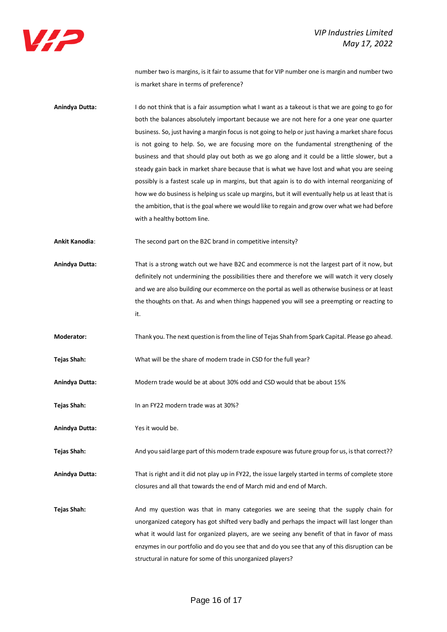

number two is margins, is it fair to assume that for VIP number one is margin and number two is market share in terms of preference?

**Anindya Dutta:** I do not think that is a fair assumption what I want as a takeout is that we are going to go for both the balances absolutely important because we are not here for a one year one quarter business. So, just having a margin focus is not going to help or just having a market share focus is not going to help. So, we are focusing more on the fundamental strengthening of the business and that should play out both as we go along and it could be a little slower, but a steady gain back in market share because that is what we have lost and what you are seeing possibly is a fastest scale up in margins, but that again is to do with internal reorganizing of how we do business is helping us scale up margins, but it will eventually help us at least that is the ambition, that is the goal where we would like to regain and grow over what we had before with a healthy bottom line.

**Ankit Kanodia**: The second part on the B2C brand in competitive intensity?

- **Anindya Dutta:** That is a strong watch out we have B2C and ecommerce is not the largest part of it now, but definitely not undermining the possibilities there and therefore we will watch it very closely and we are also building our ecommerce on the portal as well as otherwise business or at least the thoughts on that. As and when things happened you will see a preempting or reacting to it.
- **Moderator:** Thank you. The next question is from the line of Tejas Shah from Spark Capital. Please go ahead.
- **Tejas Shah:** What will be the share of modern trade in CSD for the full year?
- **Anindya Dutta:** Modern trade would be at about 30% odd and CSD would that be about 15%
- **Tejas Shah:** In an FY22 modern trade was at 30%?
- **Anindya Dutta:** Yes it would be.

Tejas Shah: And you said large part of this modern trade exposure was future group for us, is that correct??

**Anindya Dutta:** That is right and it did not play up in FY22, the issue largely started in terms of complete store closures and all that towards the end of March mid and end of March.

**Tejas Shah:** And my question was that in many categories we are seeing that the supply chain for unorganized category has got shifted very badly and perhaps the impact will last longer than what it would last for organized players, are we seeing any benefit of that in favor of mass enzymes in our portfolio and do you see that and do you see that any of this disruption can be structural in nature for some of this unorganized players?